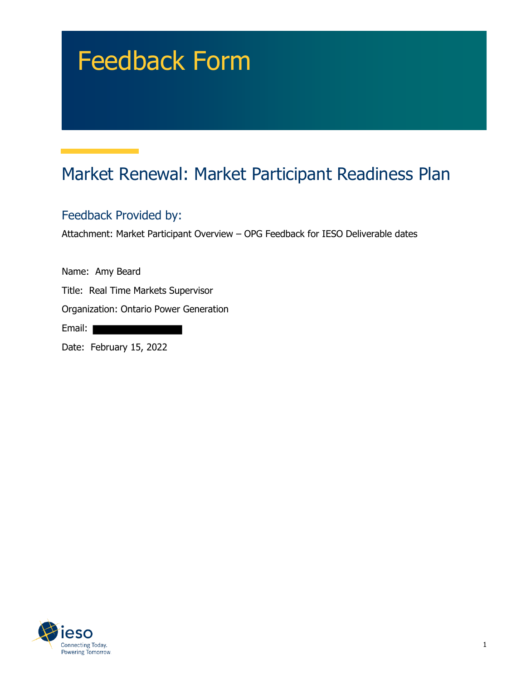# Feedback Form

# Market Renewal: Market Participant Readiness Plan

#### Feedback Provided by:

Attachment: Market Participant Overview – OPG Feedback for IESO Deliverable dates

Name: Amy Beard

Title: Real Time Markets Supervisor

Organization: Ontario Power Generation

Email:

Date: February 15, 2022

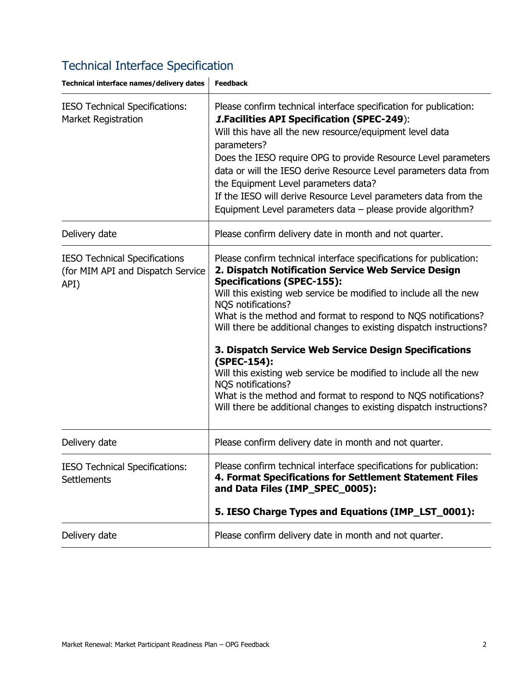# Technical Interface Specification

| Technical interface names/delivery dates                                          | <b>Feedback</b>                                                                                                                                                                                                                                                                                                                                                                                                                                                                                                                                                                                                                                                                                                |  |  |
|-----------------------------------------------------------------------------------|----------------------------------------------------------------------------------------------------------------------------------------------------------------------------------------------------------------------------------------------------------------------------------------------------------------------------------------------------------------------------------------------------------------------------------------------------------------------------------------------------------------------------------------------------------------------------------------------------------------------------------------------------------------------------------------------------------------|--|--|
| <b>IESO Technical Specifications:</b><br><b>Market Registration</b>               | Please confirm technical interface specification for publication:<br><b>1. Facilities API Specification (SPEC-249):</b><br>Will this have all the new resource/equipment level data<br>parameters?<br>Does the IESO require OPG to provide Resource Level parameters<br>data or will the IESO derive Resource Level parameters data from<br>the Equipment Level parameters data?<br>If the IESO will derive Resource Level parameters data from the<br>Equipment Level parameters data $-$ please provide algorithm?                                                                                                                                                                                           |  |  |
| Delivery date                                                                     | Please confirm delivery date in month and not quarter.                                                                                                                                                                                                                                                                                                                                                                                                                                                                                                                                                                                                                                                         |  |  |
| <b>IESO Technical Specifications</b><br>(for MIM API and Dispatch Service<br>API) | Please confirm technical interface specifications for publication:<br>2. Dispatch Notification Service Web Service Design<br><b>Specifications (SPEC-155):</b><br>Will this existing web service be modified to include all the new<br>NQS notifications?<br>What is the method and format to respond to NQS notifications?<br>Will there be additional changes to existing dispatch instructions?<br>3. Dispatch Service Web Service Design Specifications<br>(SPEC-154):<br>Will this existing web service be modified to include all the new<br>NQS notifications?<br>What is the method and format to respond to NQS notifications?<br>Will there be additional changes to existing dispatch instructions? |  |  |
| Delivery date                                                                     | Please confirm delivery date in month and not quarter.                                                                                                                                                                                                                                                                                                                                                                                                                                                                                                                                                                                                                                                         |  |  |
| IESO Technical Specifications:<br><b>Settlements</b>                              | Please confirm technical interface specifications for publication:<br>4. Format Specifications for Settlement Statement Files<br>and Data Files (IMP_SPEC_0005):<br>5. IESO Charge Types and Equations (IMP_LST_0001):                                                                                                                                                                                                                                                                                                                                                                                                                                                                                         |  |  |
| Delivery date                                                                     | Please confirm delivery date in month and not quarter.                                                                                                                                                                                                                                                                                                                                                                                                                                                                                                                                                                                                                                                         |  |  |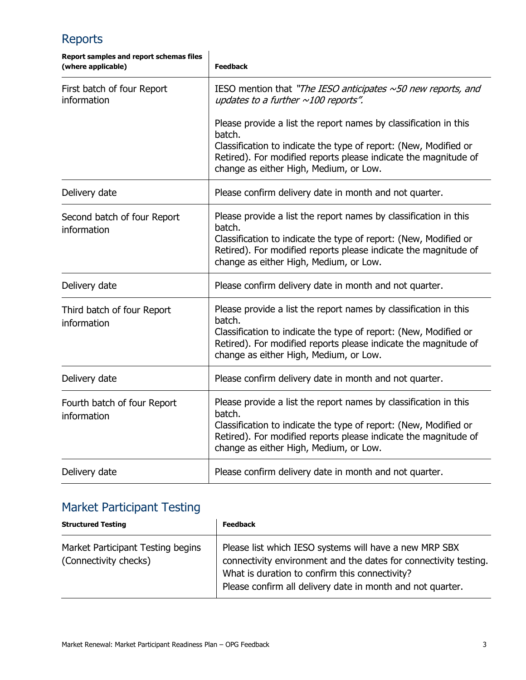### Reports

| Report samples and report schemas files<br>(where applicable) | <b>Feedback</b>                                                                                                                                                                                                                                             |  |  |
|---------------------------------------------------------------|-------------------------------------------------------------------------------------------------------------------------------------------------------------------------------------------------------------------------------------------------------------|--|--|
| First batch of four Report<br>information                     | IESO mention that "The IESO anticipates $\sim$ 50 new reports, and<br>updates to a further $\sim$ 100 reports".                                                                                                                                             |  |  |
|                                                               | Please provide a list the report names by classification in this<br>batch.<br>Classification to indicate the type of report: (New, Modified or<br>Retired). For modified reports please indicate the magnitude of<br>change as either High, Medium, or Low. |  |  |
| Delivery date                                                 | Please confirm delivery date in month and not quarter.                                                                                                                                                                                                      |  |  |
| Second batch of four Report<br>information                    | Please provide a list the report names by classification in this<br>batch.<br>Classification to indicate the type of report: (New, Modified or<br>Retired). For modified reports please indicate the magnitude of<br>change as either High, Medium, or Low. |  |  |
| Delivery date                                                 | Please confirm delivery date in month and not quarter.                                                                                                                                                                                                      |  |  |
| Third batch of four Report<br>information                     | Please provide a list the report names by classification in this<br>batch.<br>Classification to indicate the type of report: (New, Modified or<br>Retired). For modified reports please indicate the magnitude of<br>change as either High, Medium, or Low. |  |  |
| Delivery date                                                 | Please confirm delivery date in month and not quarter.                                                                                                                                                                                                      |  |  |
| Fourth batch of four Report<br>information                    | Please provide a list the report names by classification in this<br>batch.<br>Classification to indicate the type of report: (New, Modified or<br>Retired). For modified reports please indicate the magnitude of<br>change as either High, Medium, or Low. |  |  |
| Delivery date                                                 | Please confirm delivery date in month and not quarter.                                                                                                                                                                                                      |  |  |

## Market Participant Testing

| <b>Structured Testing</b>                                  | <b>Feedback</b>                                                                                                                                                                                                                            |
|------------------------------------------------------------|--------------------------------------------------------------------------------------------------------------------------------------------------------------------------------------------------------------------------------------------|
| Market Participant Testing begins<br>(Connectivity checks) | Please list which IESO systems will have a new MRP SBX<br>connectivity environment and the dates for connectivity testing.<br>What is duration to confirm this connectivity?<br>Please confirm all delivery date in month and not quarter. |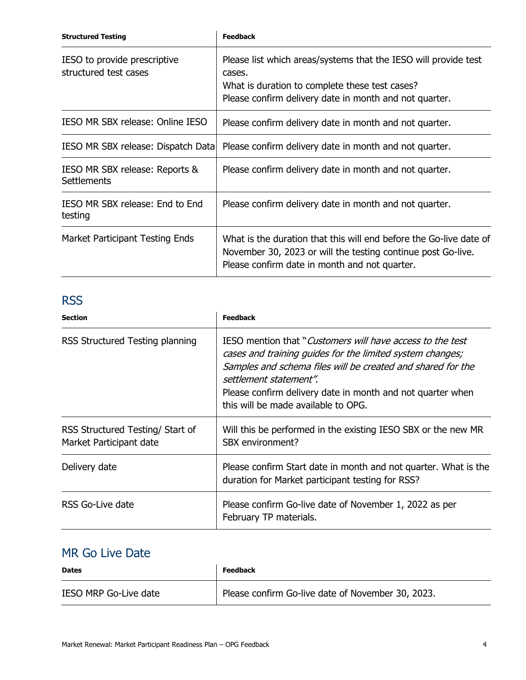| <b>Structured Testing</b>                             | <b>Feedback</b>                                                                                                                                                                       |  |  |
|-------------------------------------------------------|---------------------------------------------------------------------------------------------------------------------------------------------------------------------------------------|--|--|
| IESO to provide prescriptive<br>structured test cases | Please list which areas/systems that the IESO will provide test<br>cases.<br>What is duration to complete these test cases?<br>Please confirm delivery date in month and not quarter. |  |  |
| IESO MR SBX release: Online IESO                      | Please confirm delivery date in month and not quarter.                                                                                                                                |  |  |
| IESO MR SBX release: Dispatch Data                    | Please confirm delivery date in month and not quarter.                                                                                                                                |  |  |
| IESO MR SBX release: Reports &<br><b>Settlements</b>  | Please confirm delivery date in month and not quarter.                                                                                                                                |  |  |
| IESO MR SBX release: End to End<br>testing            | Please confirm delivery date in month and not quarter.                                                                                                                                |  |  |
| Market Participant Testing Ends                       | What is the duration that this will end before the Go-live date of<br>November 30, 2023 or will the testing continue post Go-live.<br>Please confirm date in month and not quarter.   |  |  |

#### **RSS**

| <b>Section</b>                                              | <b>Feedback</b>                                                                                                                                                                                                                                                                                                       |  |  |  |
|-------------------------------------------------------------|-----------------------------------------------------------------------------------------------------------------------------------------------------------------------------------------------------------------------------------------------------------------------------------------------------------------------|--|--|--|
| RSS Structured Testing planning                             | IESO mention that "Customers will have access to the test"<br>cases and training guides for the limited system changes;<br>Samples and schema files will be created and shared for the<br>settlement statement".<br>Please confirm delivery date in month and not quarter when<br>this will be made available to OPG. |  |  |  |
| RSS Structured Testing/ Start of<br>Market Participant date | Will this be performed in the existing IESO SBX or the new MR<br>SBX environment?                                                                                                                                                                                                                                     |  |  |  |
| Delivery date                                               | Please confirm Start date in month and not quarter. What is the<br>duration for Market participant testing for RSS?                                                                                                                                                                                                   |  |  |  |
| RSS Go-Live date                                            | Please confirm Go-live date of November 1, 2022 as per<br>February TP materials.                                                                                                                                                                                                                                      |  |  |  |

### MR Go Live Date

| <b>Dates</b>                 | <b>Feedback</b>                                   |  |
|------------------------------|---------------------------------------------------|--|
| <b>IESO MRP Go-Live date</b> | Please confirm Go-live date of November 30, 2023. |  |